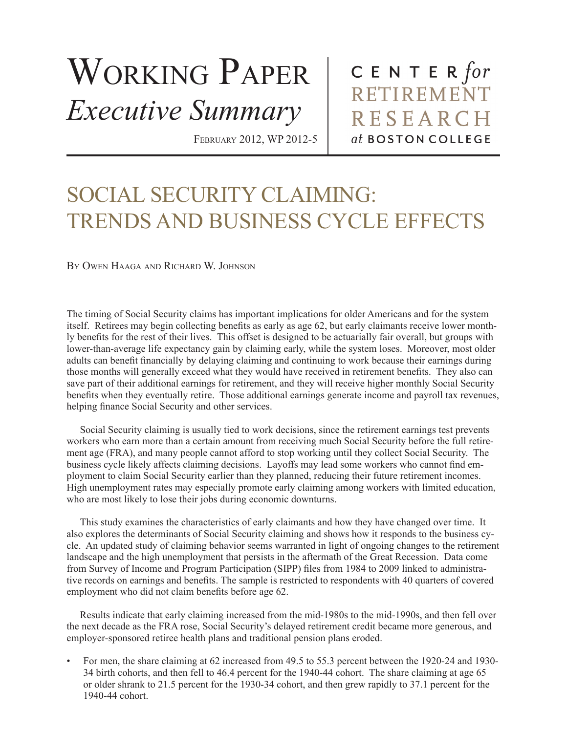## WORKING PAPER *Executive Summary*

February 2012, WP 2012-5

CENTER  $for$ RETIREMENT **RESEARCH** at BOSTON COLLEGE

## SOCIAL SECURITY CLAIMING: TRENDS AND BUSINESS CYCLE EFFECTS

By Owen Haaga and Richard W. Johnson

The timing of Social Security claims has important implications for older Americans and for the system itself. Retirees may begin collecting benefits as early as age 62, but early claimants receive lower monthly benefits for the rest of their lives. This offset is designed to be actuarially fair overall, but groups with lower-than-average life expectancy gain by claiming early, while the system loses. Moreover, most older adults can benefit financially by delaying claiming and continuing to work because their earnings during those months will generally exceed what they would have received in retirement benefits. They also can save part of their additional earnings for retirement, and they will receive higher monthly Social Security benefits when they eventually retire. Those additional earnings generate income and payroll tax revenues, helping finance Social Security and other services.

Social Security claiming is usually tied to work decisions, since the retirement earnings test prevents workers who earn more than a certain amount from receiving much Social Security before the full retirement age (FRA), and many people cannot afford to stop working until they collect Social Security. The business cycle likely affects claiming decisions. Layoffs may lead some workers who cannot find employment to claim Social Security earlier than they planned, reducing their future retirement incomes. High unemployment rates may especially promote early claiming among workers with limited education, who are most likely to lose their jobs during economic downturns.

This study examines the characteristics of early claimants and how they have changed over time. It also explores the determinants of Social Security claiming and shows how it responds to the business cycle. An updated study of claiming behavior seems warranted in light of ongoing changes to the retirement landscape and the high unemployment that persists in the aftermath of the Great Recession. Data come from Survey of Income and Program Participation (SIPP) files from 1984 to 2009 linked to administrative records on earnings and benefits. The sample is restricted to respondents with 40 quarters of covered employment who did not claim benefits before age 62.

Results indicate that early claiming increased from the mid-1980s to the mid-1990s, and then fell over the next decade as the FRA rose, Social Security's delayed retirement credit became more generous, and employer-sponsored retiree health plans and traditional pension plans eroded.

• For men, the share claiming at 62 increased from 49.5 to 55.3 percent between the 1920-24 and 1930- 34 birth cohorts, and then fell to 46.4 percent for the 1940-44 cohort. The share claiming at age 65 or older shrank to 21.5 percent for the 1930-34 cohort, and then grew rapidly to 37.1 percent for the 1940-44 cohort.